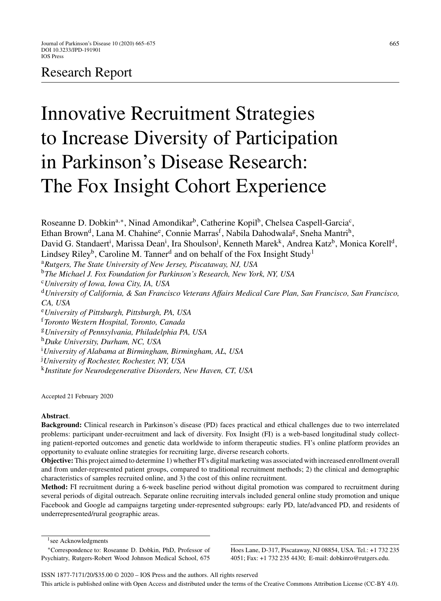# Research Report

# Innovative Recruitment Strategies to Increase Diversity of Participation in Parkinson's Disease Research: The Fox Insight Cohort Experience

Roseanne D. Dobkin<sup>a,∗</sup>, Ninad Amondikar<sup>b</sup>, Catherine Kopil<sup>b</sup>, Chelsea Caspell-Garcia<sup>c</sup>, Ethan Brown<sup>d</sup>, Lana M. Chahine<sup>e</sup>, Connie Marras<sup>f</sup>, Nabila Dahodwala<sup>g</sup>, Sneha Mantri<sup>h</sup>, David G. Standaert<sup>i</sup>, Marissa Dean<sup>i</sup>, Ira Shoulson<sup>j</sup>, Kenneth Marek<sup>k</sup>, Andrea Katz<sup>b</sup>, Monica Korell<sup>d</sup>, Lindsey Riley<sup>b</sup>, Caroline M. Tanner<sup>d</sup> and on behalf of the Fox Insight Study<sup>1</sup> <sup>a</sup>*Rutgers, The State University of New Jersey, Piscataway, NJ, USA* <sup>b</sup>*The Michael J. Fox Foundation for Parkinson's Research, New York, NY, USA* <sup>c</sup>*University of Iowa, Iowa City, IA, USA* <sup>d</sup>*University of California, & San Francisco Veterans Affairs Medical Care Plan, San Francisco, San Francisco, CA, USA* <sup>e</sup>*University of Pittsburgh, Pittsburgh, PA, USA* <sup>f</sup>*Toronto Western Hospital, Toronto, Canada* <sup>g</sup>*University of Pennsylvania, Philadelphia PA, USA* <sup>h</sup>*Duke University, Durham, NC, USA* i *University of Alabama at Birmingham, Birmingham, AL, USA* j *University of Rochester, Rochester, NY, USA* <sup>k</sup>*Institute for Neurodegenerative Disorders, New Haven, CT, USA*

Accepted 21 February 2020

# **Abstract**.

**Background:** Clinical research in Parkinson's disease (PD) faces practical and ethical challenges due to two interrelated problems: participant under-recruitment and lack of diversity. Fox Insight (FI) is a web-based longitudinal study collecting patient-reported outcomes and genetic data worldwide to inform therapeutic studies. FI's online platform provides an opportunity to evaluate online strategies for recruiting large, diverse research cohorts.

**Objective:** This project aimed to determine 1) whether FI's digital marketing was associated with increased enrollment overall and from under-represented patient groups, compared to traditional recruitment methods; 2) the clinical and demographic characteristics of samples recruited online, and 3) the cost of this online recruitment.

**Method:** FI recruitment during a 6-week baseline period without digital promotion was compared to recruitment during several periods of digital outreach. Separate online recruiting intervals included general online study promotion and unique Facebook and Google ad campaigns targeting under-represented subgroups: early PD, late/advanced PD, and residents of underrepresented/rural geographic areas.

Hoes Lane, D-317, Piscataway, NJ 08854, USA. Tel.: +1 732 235 4051; Fax: +1 732 235 4430; E-mail: [dobkinro@rutgers.edu](mailto:dobkinro@rutgers.edu).

ISSN 1877-7171/20/\$35.00 © 2020 – IOS Press and the authors. All rights reserved This article is published online with Open Access and distributed under the terms of the Creative Commons Attribution License (CC-BY 4.0).

 $1$ see Acknowledgments

<sup>∗</sup>Correspondence to: Roseanne D. Dobkin, PhD, Professor of Psychiatry, Rutgers-Robert Wood Johnson Medical School, 675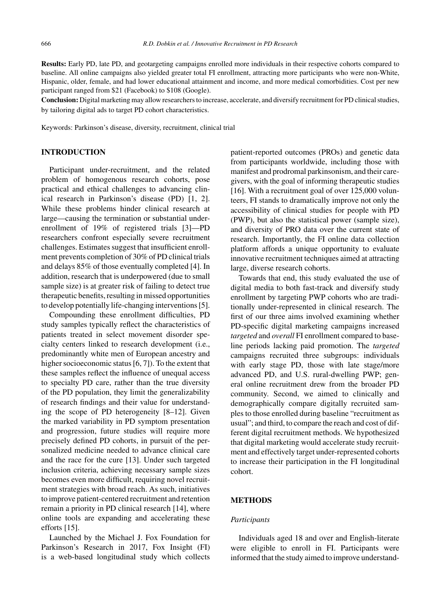**Results:** Early PD, late PD, and geotargeting campaigns enrolled more individuals in their respective cohorts compared to baseline. All online campaigns also yielded greater total FI enrollment, attracting more participants who were non-White, Hispanic, older, female, and had lower educational attainment and income, and more medical comorbidities. Cost per new participant ranged from \$21 (Facebook) to \$108 (Google).

**Conclusion:** Digital marketing may allow researchers to increase, accelerate, and diversify recruitment for PD clinical studies, by tailoring digital ads to target PD cohort characteristics.

Keywords: Parkinson's disease, diversity, recruitment, clinical trial

### **INTRODUCTION**

Participant under-recruitment, and the related problem of homogenous research cohorts, pose practical and ethical challenges to advancing clinical research in Parkinson's disease (PD) [1, 2]. While these problems hinder clinical research at large—causing the termination or substantial underenrollment of 19% of registered trials [3]—PD researchers confront especially severe recruitment challenges. Estimates suggest that insufficient enrollment prevents completion of 30% of PD clinical trials and delays 85% of those eventually completed [4]. In addition, research that is underpowered (due to small sample size) is at greater risk of failing to detect true therapeutic benefits, resulting in missed opportunities to develop potentially life-changing interventions [5].

Compounding these enrollment difficulties, PD study samples typically reflect the characteristics of patients treated in select movement disorder specialty centers linked to research development (i.e., predominantly white men of European ancestry and higher socioeconomic status [6, 7]). To the extent that these samples reflect the influence of unequal access to specialty PD care, rather than the true diversity of the PD population, they limit the generalizability of research findings and their value for understanding the scope of PD heterogeneity [8–12]. Given the marked variability in PD symptom presentation and progression, future studies will require more precisely defined PD cohorts, in pursuit of the personalized medicine needed to advance clinical care and the race for the cure [13]. Under such targeted inclusion criteria, achieving necessary sample sizes becomes even more difficult, requiring novel recruitment strategies with broad reach. As such, initiatives to improve patient-centered recruitment and retention remain a priority in PD clinical research [14], where online tools are expanding and accelerating these efforts [15].

Launched by the Michael J. Fox Foundation for Parkinson's Research in 2017, Fox Insight (FI) is a web-based longitudinal study which collects patient-reported outcomes (PROs) and genetic data from participants worldwide, including those with manifest and prodromal parkinsonism, and their caregivers, with the goal of informing therapeutic studies [16]. With a recruitment goal of over 125,000 volunteers, FI stands to dramatically improve not only the accessibility of clinical studies for people with PD (PWP), but also the statistical power (sample size), and diversity of PRO data over the current state of research. Importantly, the FI online data collection platform affords a unique opportunity to evaluate innovative recruitment techniques aimed at attracting large, diverse research cohorts.

Towards that end, this study evaluated the use of digital media to both fast-track and diversify study enrollment by targeting PWP cohorts who are traditionally under-represented in clinical research. The first of our three aims involved examining whether PD-specific digital marketing campaigns increased *targeted* and *overall* FI enrollment compared to baseline periods lacking paid promotion. The *targeted* campaigns recruited three subgroups: individuals with early stage PD, those with late stage/more advanced PD, and U.S. rural-dwelling PWP; general online recruitment drew from the broader PD community. Second, we aimed to clinically and demographically compare digitally recruited samples to those enrolled during baseline "recruitment as usual"; and third, to compare the reach and cost of different digital recruitment methods. We hypothesized that digital marketing would accelerate study recruitment and effectively target under-represented cohorts to increase their participation in the FI longitudinal cohort.

# **METHODS**

# *Participants*

Individuals aged 18 and over and English-literate were eligible to enroll in FI. Participants were informed that the study aimed to improve understand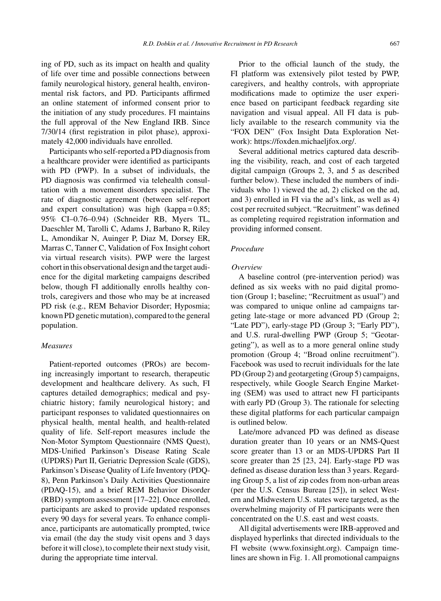ing of PD, such as its impact on health and quality of life over time and possible connections between family neurological history, general health, environmental risk factors, and PD. Participants affirmed an online statement of informed consent prior to the initiation of any study procedures. FI maintains the full approval of the New England IRB. Since 7/30/14 (first registration in pilot phase), approximately 42,000 individuals have enrolled.

Participants who self-reported a PD diagnosis from a healthcare provider were identified as participants with PD (PWP). In a subset of individuals, the PD diagnosis was confirmed via telehealth consultation with a movement disorders specialist. The rate of diagnostic agreement (between self-report and expert consultation) was high (kappa =  $0.85$ ; 95% CI–0.76–0.94) (Schneider RB, Myers TL, Daeschler M, Tarolli C, Adams J, Barbano R, Riley L, Amondikar N, Auinger P, Diaz M, Dorsey ER, Marras C, Tanner C, Validation of Fox Insight cohort via virtual research visits). PWP were the largest cohort in this observational design and the target audience for the digital marketing campaigns described below, though FI additionally enrolls healthy controls, caregivers and those who may be at increased PD risk (e.g., REM Behavior Disorder; Hyposmia; known PD genetic mutation), compared to the general population.

# *Measures*

Patient-reported outcomes (PROs) are becoming increasingly important to research, therapeutic development and healthcare delivery. As such, FI captures detailed demographics; medical and psychiatric history; family neurological history; and participant responses to validated questionnaires on physical health, mental health, and health-related quality of life. Self-report measures include the Non-Motor Symptom Questionnaire (NMS Quest), MDS-Unified Parkinson's Disease Rating Scale (UPDRS) Part II, Geriatric Depression Scale (GDS), Parkinson's Disease Quality of Life Inventory (PDQ-8), Penn Parkinson's Daily Activities Questionnaire (PDAQ-15), and a brief REM Behavior Disorder (RBD) symptom assessment [17–22]. Once enrolled, participants are asked to provide updated responses every 90 days for several years. To enhance compliance, participants are automatically prompted, twice via email (the day the study visit opens and 3 days before it will close), to complete their next study visit, during the appropriate time interval.

Prior to the official launch of the study, the FI platform was extensively pilot tested by PWP, caregivers, and healthy controls, with appropriate modifications made to optimize the user experience based on participant feedback regarding site navigation and visual appeal. All FI data is publicly available to the research community via the "FOX DEN" (Fox Insight Data Exploration Network): [https://foxden.michaeljfox.org/.](https://foxden.michaeljfox.org/)

Several additional metrics captured data describing the visibility, reach, and cost of each targeted digital campaign (Groups 2, 3, and 5 as described further below). These included the numbers of individuals who 1) viewed the ad, 2) clicked on the ad, and 3) enrolled in FI via the ad's link, as well as 4) cost per recruited subject. "Recruitment" was defined as completing required registration information and providing informed consent.

# *Procedure*

#### *Overview*

A baseline control (pre-intervention period) was defined as six weeks with no paid digital promotion (Group 1; baseline; "Recruitment as usual") and was compared to unique online ad campaigns targeting late-stage or more advanced PD (Group 2; "Late PD"), early-stage PD (Group 3; "Early PD"), and U.S. rural-dwelling PWP (Group 5; "Geotargeting"), as well as to a more general online study promotion (Group 4; "Broad online recruitment"). Facebook was used to recruit individuals for the late PD (Group 2) and geotargeting (Group 5) campaigns, respectively, while Google Search Engine Marketing (SEM) was used to attract new FI participants with early PD (Group 3). The rationale for selecting these digital platforms for each particular campaign is outlined below.

Late/more advanced PD was defined as disease duration greater than 10 years or an NMS-Quest score greater than 13 or an MDS-UPDRS Part II score greater than 25 [23, 24]. Early-stage PD was defined as disease duration less than 3 years. Regarding Group 5, a list of zip codes from non-urban areas (per the U.S. Census Bureau [25]), in select Western and Midwestern U.S. states were targeted, as the overwhelming majority of FI participants were then concentrated on the U.S. east and west coasts.

All digital advertisements were IRB-approved and displayed hyperlinks that directed individuals to the FI website (<www.foxinsight.org>). Campaign timelines are shown in Fig. 1. All promotional campaigns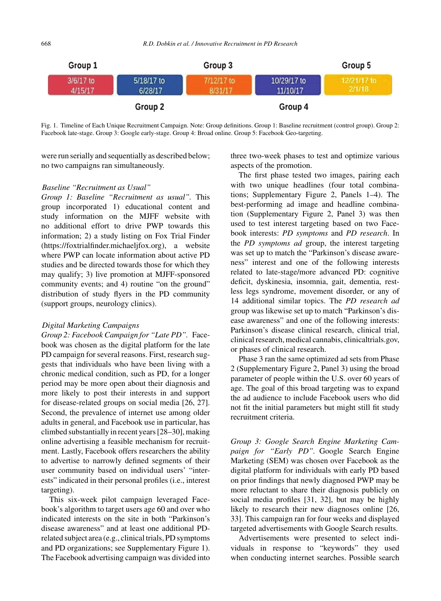

Fig. 1. Timeline of Each Unique Recruitment Campaign. Note: Group definitions. Group 1: Baseline recruitment (control group). Group 2: Facebook late-stage. Group 3: Google early-stage. Group 4: Broad online. Group 5: Facebook Geo-targeting.

were run serially and sequentially as described below; no two campaigns ran simultaneously.

# *Baseline "Recruitment as Usual"*

*Group 1: Baseline "Recruitment as usual".* This group incorporated 1) educational content and study information on the MJFF website with no additional effort to drive PWP towards this information; 2) a study listing on Fox Trial Finder [\(https://foxtrialfinder.michaeljfox.org\)](https://foxtrialfinder.michaeljfox.org), a website where PWP can locate information about active PD studies and be directed towards those for which they may qualify; 3) live promotion at MJFF-sponsored community events; and 4) routine "on the ground" distribution of study flyers in the PD community (support groups, neurology clinics).

### *Digital Marketing Campaigns*

*Group 2: Facebook Campaign for "Late PD".* Facebook was chosen as the digital platform for the late PD campaign for several reasons. First, research suggests that individuals who have been living with a chronic medical condition, such as PD, for a longer period may be more open about their diagnosis and more likely to post their interests in and support for disease-related groups on social media [26, 27]. Second, the prevalence of internet use among older adults in general, and Facebook use in particular, has climbed substantially in recent years [28–30], making online advertising a feasible mechanism for recruitment. Lastly, Facebook offers researchers the ability to advertise to narrowly defined segments of their user community based on individual users' "interests" indicated in their personal profiles (i.e., interest targeting).

This six-week pilot campaign leveraged Facebook's algorithm to target users age 60 and over who indicated interests on the site in both "Parkinson's disease awareness" and at least one additional PDrelated subject area (e.g., clinical trials, PD symptoms and PD organizations; see Supplementary Figure 1). The Facebook advertising campaign was divided into three two-week phases to test and optimize various aspects of the promotion.

The first phase tested two images, pairing each with two unique headlines (four total combinations; Supplementary Figure 2, Panels 1–4). The best-performing ad image and headline combination (Supplementary Figure 2, Panel 3) was then used to test interest targeting based on two Facebook interests: *PD symptoms* and *PD research*. In the *PD symptoms ad* group, the interest targeting was set up to match the "Parkinson's disease awareness" interest and one of the following interests related to late-stage/more advanced PD: cognitive deficit, dyskinesia, insomnia, gait, dementia, restless legs syndrome, movement disorder, or any of 14 additional similar topics. The *PD research ad* group was likewise set up to match "Parkinson's disease awareness" and one of the following interests: Parkinson's disease clinical research, clinical trial, clinical research, medical cannabis, clinicaltrials.gov, or phases of clinical research.

Phase 3 ran the same optimized ad sets from Phase 2 (Supplementary Figure 2, Panel 3) using the broad parameter of people within the U.S. over 60 years of age. The goal of this broad targeting was to expand the ad audience to include Facebook users who did not fit the initial parameters but might still fit study recruitment criteria.

*Group 3: Google Search Engine Marketing Campaign for "Early PD".* Google Search Engine Marketing (SEM) was chosen over Facebook as the digital platform for individuals with early PD based on prior findings that newly diagnosed PWP may be more reluctant to share their diagnosis publicly on social media profiles [31, 32], but may be highly likely to research their new diagnoses online [26, 33]. This campaign ran for four weeks and displayed targeted advertisements with Google Search results.

Advertisements were presented to select individuals in response to "keywords" they used when conducting internet searches. Possible search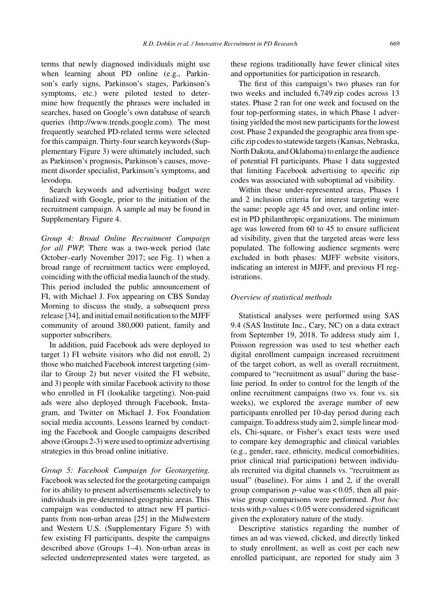terms that newly diagnosed individuals might use when learning about PD online (e.g., Parkinson's early signs, Parkinson's stages, Parkinson's symptoms, etc.) were piloted tested to determine how frequently the phrases were included in searches, based on Google's own database of search queries ([http://www.trends.google.com\)](http://www.trends.google.com). The most frequently searched PD-related terms were selected for this campaign. Thirty-four search keywords (Supplementary Figure 3) were ultimately included, such as Parkinson's prognosis, Parkinson's causes, movement disorder specialist, Parkinson's symptoms, and levodopa.

Search keywords and advertising budget were finalized with Google, prior to the initiation of the recruitment campaign. A sample ad may be found in Supplementary Figure 4.

*Group 4: Broad Online Recruitment Campaign for all PWP.* There was a two-week period (late October–early November 2017; see Fig. 1) when a broad range of recruitment tactics were employed, coinciding with the official media launch of the study. This period included the public announcement of FI, with Michael J. Fox appearing on CBS Sunday Morning to discuss the study, a subsequent press release [34], and initial email notification to the MJFF community of around 380,000 patient, family and supporter subscribers.

In addition, paid Facebook ads were deployed to target 1) FI website visitors who did not enroll, 2) those who matched Facebook interest targeting (similar to Group 2) but never visited the FI website, and 3) people with similar Facebook activity to those who enrolled in FI (lookalike targeting). Non-paid ads were also deployed through Facebook, Instagram, and Twitter on Michael J. Fox Foundation social media accounts. Lessons learned by conducting the Facebook and Google campaigns described above (Groups 2-3) were used to optimize advertising strategies in this broad online initiative.

*Group 5: Facebook Campaign for Geotargeting.* Facebook was selected for the geotargeting campaign for its ability to present advertisements selectively to individuals in pre-determined geographic areas. This campaign was conducted to attract new FI participants from non-urban areas [25] in the Midwestern and Western U.S. (Supplementary Figure 5) with few existing FI participants, despite the campaigns described above (Groups 1–4). Non-urban areas in selected underrepresented states were targeted, as

these regions traditionally have fewer clinical sites and opportunities for participation in research.

The first of this campaign's two phases ran for two weeks and included 6,749 zip codes across 13 states. Phase 2 ran for one week and focused on the four top-performing states, in which Phase 1 advertising yielded the most new participants for the lowest cost. Phase 2 expanded the geographic area from specific zip codes to statewide targets (Kansas, Nebraska, North Dakota, and Oklahoma) to enlarge the audience of potential FI participants. Phase 1 data suggested that limiting Facebook advertising to specific zip codes was associated with suboptimal ad visibility.

Within these under-represented areas, Phases 1 and 2 inclusion criteria for interest targeting were the same: people age 45 and over, and online interest in PD philanthropic organizations. The minimum age was lowered from 60 to 45 to ensure sufficient ad visibility, given that the targeted areas were less populated. The following audience segments were excluded in both phases: MJFF website visitors, indicating an interest in MJFF, and previous FI registrations.

# *Overview of statistical methods*

Statistical analyses were performed using SAS 9.4 (SAS Institute Inc., Cary, NC) on a data extract from September 19, 2018. To address study aim 1, Poisson regression was used to test whether each digital enrollment campaign increased recruitment of the target cohort, as well as overall recruitment, compared to "recruitment as usual" during the baseline period. In order to control for the length of the online recruitment campaigns (two vs. four vs. six weeks), we explored the average number of new participants enrolled per 10-day period during each campaign. To address study aim 2, simple linear models, Chi-square, or Fisher's exact tests were used to compare key demographic and clinical variables (e.g., gender, race, ethnicity, medical comorbidities, prior clinical trial participation) between individuals recruited via digital channels vs. "recruitment as usual" (baseline). For aims 1 and 2, if the overall group comparison *p*-value was < 0.05, then all pairwise group comparisons were performed. *Post hoc* tests with *p*-values < 0.05 were considered significant given the exploratory nature of the study.

Descriptive statistics regarding the number of times an ad was viewed, clicked, and directly linked to study enrollment, as well as cost per each new enrolled participant, are reported for study aim 3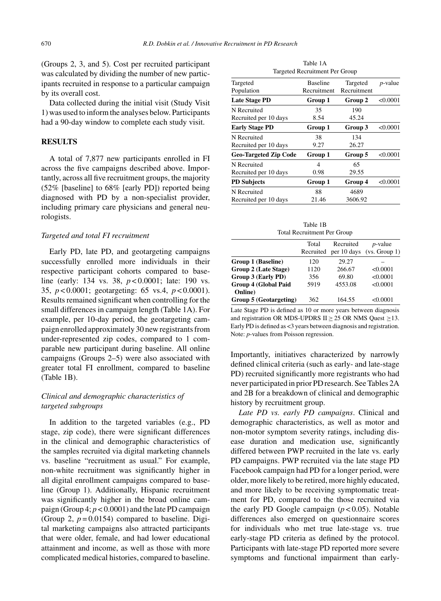(Groups 2, 3, and 5). Cost per recruited participant was calculated by dividing the number of new participants recruited in response to a particular campaign by its overall cost.

Data collected during the initial visit (Study Visit 1) was used to inform the analyses below. Participants had a 90-day window to complete each study visit.

# **RESULTS**

A total of 7,877 new participants enrolled in FI across the five campaigns described above. Importantly, across all five recruitment groups, the majority (52% [baseline] to 68% [early PD]) reported being diagnosed with PD by a non-specialist provider, including primary care physicians and general neurologists.

#### *Targeted and total FI recruitment*

Early PD, late PD, and geotargeting campaigns successfully enrolled more individuals in their respective participant cohorts compared to baseline (early: 134 vs. 38, *p* < 0.0001; late: 190 vs. 35, *p* < 0.0001; geotargeting: 65 vs.4, *p* < 0.0001). Results remained significant when controlling for the small differences in campaign length (Table 1A). For example, per 10-day period, the geotargeting campaign enrolled approximately 30 new registrants from under-represented zip codes, compared to 1 comparable new participant during baseline. All online campaigns (Groups 2–5) were also associated with greater total FI enrollment, compared to baseline (Table 1B).

# *Clinical and demographic characteristics of targeted subgroups*

In addition to the targeted variables (e.g., PD stage, zip code), there were significant differences in the clinical and demographic characteristics of the samples recruited via digital marketing channels vs. baseline "recruitment as usual." For example, non-white recruitment was significantly higher in all digital enrollment campaigns compared to baseline (Group 1). Additionally, Hispanic recruitment was significantly higher in the broad online campaign (Group 4; *p* < 0.0001) and the late PD campaign (Group 2,  $p = 0.0154$ ) compared to baseline. Digital marketing campaigns also attracted participants that were older, female, and had lower educational attainment and income, as well as those with more complicated medical histories, compared to baseline.

Table 1A Targeted Recruitment Per Group

| Targeted<br>Population       | <b>Baseline</b><br>Recruitment | Targeted<br>Recruitment | <i>p</i> -value |
|------------------------------|--------------------------------|-------------------------|-----------------|
| <b>Late Stage PD</b>         | Group 1                        | Group 2                 | < 0.0001        |
| N Recruited                  | 35                             | 190                     |                 |
| Recruited per 10 days        | 8.54                           | 45.24                   |                 |
| <b>Early Stage PD</b>        | Group 1                        | Group 3                 | < 0.0001        |
| N Recruited                  | 38                             | 134                     |                 |
| Recruited per 10 days        | 9.27                           | 26.27                   |                 |
| <b>Geo-Targeted Zip Code</b> | Group 1                        | Group 5                 | < 0.0001        |
| N Recruited                  | 4                              | 65                      |                 |
| Recruited per 10 days        | 0.98                           | 29.55                   |                 |
| <b>PD</b> Subjects           | Group 1                        | Group 4                 | < 0.0001        |
| N Recruited                  | 88                             | 4689                    |                 |
| Recruited per 10 days        | 21.46                          | 3606.92                 |                 |
|                              |                                |                         |                 |

Table 1B Total Recruitment Per Group

|                                        | Total     | Recruited   | $p$ -value    |
|----------------------------------------|-----------|-------------|---------------|
|                                        | Recruited | per 10 days | (vs. Group 1) |
| Group 1 (Baseline)                     | 120       | 29.27       |               |
| Group 2 (Late Stage)                   | 1120      | 266.67      | < 0.0001      |
| Group 3 (Early PD)                     | 356       | 69.80       | < 0.0001      |
| <b>Group 4 (Global Paid</b><br>Online) | 5919      | 4553.08     | < 0.0001      |
| Group 5 (Geotargeting)                 | 362       | 164.55      | < 0.0001      |

Late Stage PD is defined as 10 or more years between diagnosis and registration OR MDS-UPDRS II  $\geq$  25 OR NMS Quest  $\geq$  13. Early PD is defined as <3 years between diagnosis and registration. Note: *p*-values from Poisson regression.

Importantly, initiatives characterized by narrowly defined clinical criteria (such as early- and late-stage PD) recruited significantly more registrants who had never participated in prior PD research. See Tables 2A and 2B for a breakdown of clinical and demographic history by recruitment group.

*Late PD vs. early PD campaigns*. Clinical and demographic characteristics, as well as motor and non-motor symptom severity ratings, including disease duration and medication use, significantly differed between PWP recruited in the late vs. early PD campaigns. PWP recruited via the late stage PD Facebook campaign had PD for a longer period, were older, more likely to be retired, more highly educated, and more likely to be receiving symptomatic treatment for PD, compared to the those recruited via the early PD Google campaign  $(p < 0.05)$ . Notable differences also emerged on questionnaire scores for individuals who met true late-stage vs. true early-stage PD criteria as defined by the protocol. Participants with late-stage PD reported more severe symptoms and functional impairment than early-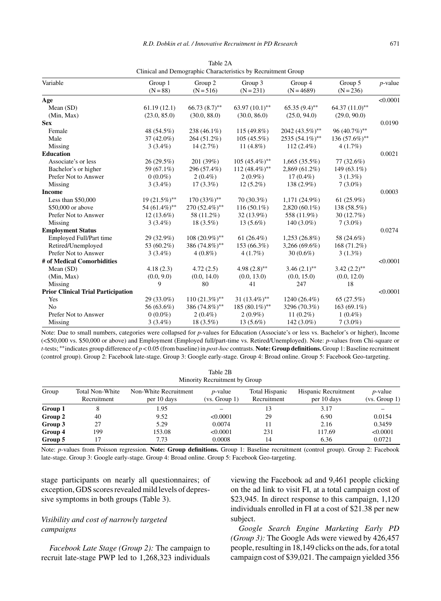| Variable                                  | Group 1<br>$(N = 88)$ | Group 2<br>$(N = 516)$ | Group 3<br>$(N = 231)$ | Group 4<br>$(N = 4689)$ | Group 5<br>$(N = 236)$ | $p$ -value |
|-------------------------------------------|-----------------------|------------------------|------------------------|-------------------------|------------------------|------------|
|                                           |                       |                        |                        |                         |                        | < 0.0001   |
| Age                                       |                       | $66.73(8.7)$ **        | $63.97(10.1)$ **       | $65.35(9.4)$ **         | $64.37(11.0)$ **       |            |
| Mean $(SD)$                               | 61.19(12.1)           |                        |                        |                         |                        |            |
| (Min, Max)<br><b>Sex</b>                  | (23.0, 85.0)          | (30.0, 88.0)           | (30.0, 86.0)           | (25.0, 94.0)            | (29.0, 90.0)           | 0.0190     |
|                                           |                       |                        |                        |                         |                        |            |
| Female                                    | 48 (54.5%)            | 238 (46.1%)            | $115(49.8\%)$          | 2042 (43.5%)**          | 96 (40.7%)**           |            |
| Male                                      | $37(42.0\%)$          | 264 (51.2%)            | $105(45.5\%)$          | 2535 (54.1%)**          | 136 $(57.6%)$ **       |            |
| Missing                                   | $3(3.4\%)$            | $14(2.7\%)$            | $11(4.8\%)$            | $112(2.4\%)$            | 4(1.7%)                |            |
| Education                                 |                       |                        |                        |                         |                        | 0.0021     |
| Associate's or less                       | 26(29.5%)             | 201 (39%)              | $105 (45.4\%)$ **      | $1,665(35.5\%)$         | 77 (32.6%)             |            |
| Bachelor's or higher                      | 59 (67.1%)            | 296 (57.4%)            | $112 (48.4\%)$ **      | $2,869(61.2\%)$         | 149 (63.1%)            |            |
| Prefer Not to Answer                      | $0(0.0\%)$            | $2(0.4\%)$             | $2(0.9\%)$             | $17(0.4\%)$             | $3(1.3\%)$             |            |
| Missing                                   | $3(3.4\%)$            | $17(3.3\%)$            | $12(5.2\%)$            | $138(2.9\%)$            | $7(3.0\%)$             |            |
| <b>Income</b>                             |                       |                        |                        |                         |                        | 0.0003     |
| Less than $$50,000$                       | 19 (21.5%)**          | $170(33\%)$ **         | $70(30.3\%)$           | $1,171(24.9\%)$         | $61(25.9\%)$           |            |
| \$50,000 or above                         | 54 (61.4%)**          | 270 (52.4%)**          | $116(50.1\%)$          | $2,820(60.1\%)$         | 138 (58.5%)            |            |
| Prefer Not to Answer                      | $12(13.6\%)$          | 58 (11.2%)             | $32(13.9\%)$           | 558 (11.9%)             | 30(12.7%)              |            |
| Missing                                   | $3(3.4\%)$            | $18(3.5\%)$            | $13(5.6\%)$            | $140(3.0\%)$            | $7(3.0\%)$             |            |
| <b>Employment Status</b>                  |                       |                        |                        |                         |                        | 0.0274     |
| Employed Full/Part time                   | $29(32.9\%)$          | $108(20.9\%)$ **       | $61(26.4\%)$           | $1,253(26.8\%)$         | 58 (24.6%)             |            |
| Retired/Unemployed                        | 53 (60.2%)            | 386 (74.8%)**          | 153 (66.3%)            | $3,266(69.6\%)$         | 168 (71.2%)            |            |
| Prefer Not to Answer                      | $3(3.4\%)$            | $4(0.8\%)$             | $4(1.7\%)$             | $30(0.6\%)$             | $3(1.3\%)$             |            |
| # of Medical Comorbidities                |                       |                        |                        |                         |                        | < 0.0001   |
| Mean (SD)                                 | 4.18(2.3)             | 4.72(2.5)              | 4.98 $(2.8)$ **        | $3.46(2.1)$ **          | $3.42(2.2)$ **         |            |
| (Min, Max)                                | (0.0, 9.0)            | (0.0, 14.0)            | (0.0, 13.0)            | (0.0, 15.0)             | (0.0, 12.0)            |            |
| Missing                                   | 9                     | 80                     | 41                     | 247                     | 18                     |            |
| <b>Prior Clinical Trial Participation</b> |                       |                        |                        |                         |                        | < 0.0001   |
| Yes                                       | $29(33.0\%)$          | $110(21.3\%)$ **       | 31 $(13.4\%)$ **       | 1240 (26.4%)            | 65 (27.5%)             |            |
| N <sub>0</sub>                            | 56 (63.6%)            | 386 (74.8%)**          | 185 (80.1%)**          | 3296 (70.3%)            | 163 $(69.1\%)$         |            |
| Prefer Not to Answer                      | $0(0.0\%)$            | $2(0.4\%)$             | $2(0.9\%)$             | 11 $(0.2\%)$            | $1(0.4\%)$             |            |
| Missing                                   | $3(3.4\%)$            | $18(3.5\%)$            | $13(5.6\%)$            | $142(3.0\%)$            | $7(3.0\%)$             |            |

Table 2A Clinical and Demographic Characteristics by Recruitment Group

Note: Due to small numbers, categories were collapsed for *p*-values for Education (Associate's or less vs. Bachelor's or higher), Income (<\$50,000 vs. \$50,000 or above) and Employment (Employed full/part-time vs. Retired/Unemployed). Note: *p*-values from Chi-square or *t*-tests; ∗∗indicates group difference of *p* < 0.05 (from baseline) in *post-hoc* contrasts. **Note: Group definitions.** Group 1: Baseline recruitment (control group). Group 2: Facebook late-stage. Group 3: Google early-stage. Group 4: Broad online. Group 5: Facebook Geo-targeting.

 $\pm$  2  $\pm$  2  $\pm$ 

| Table 2B<br>Minority Recruitment by Group |                                       |                                      |                                  |                               |                                     |                             |
|-------------------------------------------|---------------------------------------|--------------------------------------|----------------------------------|-------------------------------|-------------------------------------|-----------------------------|
| Group                                     | <b>Total Non-White</b><br>Recruitment | Non-White Recruitment<br>per 10 days | <i>p</i> -value<br>(vs. Group 1) | Total Hispanic<br>Recruitment | Hispanic Recruitment<br>per 10 days | $p$ -value<br>(vs. Group 1) |
| Group 1                                   |                                       | 1.95                                 |                                  | 13                            | 3.17                                |                             |
| Group 2                                   | 40                                    | 9.52                                 | < 0.0001                         | 29                            | 6.90                                | 0.0154                      |
| Group 3                                   | 27                                    | 5.29                                 | 0.0074                           |                               | 2.16                                | 0.3459                      |
| Group 4                                   | 199                                   | 153.08                               | < 0.0001                         | 231                           | 117.69                              | < 0.0001                    |
| Group 5                                   |                                       | 7.73                                 | 0.0008                           | 14                            | 6.36                                | 0.0721                      |

Note: *p*-values from Poisson regression. **Note: Group definitions.** Group 1: Baseline recruitment (control group). Group 2: Facebook late-stage. Group 3: Google early-stage. Group 4: Broad online. Group 5: Facebook Geo-targeting.

stage participants on nearly all questionnaires; of exception, GDS scores revealed mild levels of depressive symptoms in both groups (Table 3).

# *Visibility and cost of narrowly targeted campaigns*

*Facebook Late Stage (Group 2):* The campaign to recruit late-stage PWP led to 1,268,323 individuals

viewing the Facebook ad and 9,461 people clicking on the ad link to visit FI, at a total campaign cost of \$23,945. In direct response to this campaign, 1,120 individuals enrolled in FI at a cost of \$21.38 per new subject.

*Google Search Engine Marketing Early PD (Group 3):* The Google Ads were viewed by 426,457 people, resulting in 18,149 clicks on the ads, for a total campaign cost of \$39,021. The campaign yielded 356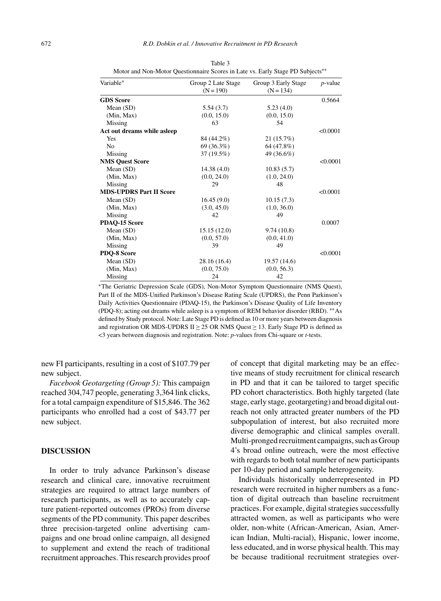| Variable*                      | Group 2 Late Stage<br>$(N = 190)$ | Group 3 Early Stage<br>$(N = 134)$ | $p$ -value |
|--------------------------------|-----------------------------------|------------------------------------|------------|
| <b>GDS</b> Score               |                                   |                                    | 0.5664     |
| Mean (SD)                      | 5.54(3.7)                         | 5.23(4.0)                          |            |
| (Min, Max)                     | (0.0, 15.0)                       | (0.0, 15.0)                        |            |
| Missing                        | 63                                | 54                                 |            |
| Act out dreams while asleep    |                                   |                                    | < 0.0001   |
| Yes                            | 84 (44.2%)                        | 21 (15.7%)                         |            |
| N <sub>0</sub>                 | 69 (36.3%)                        | 64 (47.8%)                         |            |
| Missing                        | 37 (19.5%)                        | 49 (36.6%)                         |            |
| <b>NMS Quest Score</b>         |                                   |                                    | < 0.0001   |
| Mean (SD)                      | 14.38(4.0)                        | 10.83(5.7)                         |            |
| (Min, Max)                     | (0.0, 24.0)                       | (1.0, 24.0)                        |            |
| Missing                        | 29                                | 48                                 |            |
| <b>MDS-UPDRS Part II Score</b> |                                   |                                    | < 0.0001   |
| Mean $(SD)$                    | 16.45(9.0)                        | 10.15(7.3)                         |            |
| (Min, Max)                     | (3.0, 45.0)                       | (1.0, 36.0)                        |            |
| Missing                        | 42                                | 49                                 |            |
| PDAQ-15 Score                  |                                   |                                    | 0.0007     |
| Mean $(SD)$                    | 15.15(12.0)                       | 9.74(10.8)                         |            |
| (Min, Max)                     | (0.0, 57.0)                       | (0.0, 41.0)                        |            |
| Missing                        | 39                                | 49                                 |            |
| PDQ-8 Score                    |                                   |                                    | < 0.0001   |
| Mean $(SD)$                    | 28.16 (16.4)                      | 19.57 (14.6)                       |            |
| (Min, Max)                     | (0.0, 75.0)                       | (0.0, 56.3)                        |            |
| Missing                        | 24                                | 42                                 |            |
|                                |                                   |                                    |            |

Table 3 Motor and Non-Motor Questionnaire Scores in Late vs. Early Stage PD Subjects<sup>\*\*</sup>

∗The Geriatric Depression Scale (GDS), Non-Motor Symptom Questionnaire (NMS Quest), Part II of the MDS-Unified Parkinson's Disease Rating Scale (UPDRS), the Penn Parkinson's Daily Activities Questionnaire (PDAQ-15), the Parkinson's Disease Quality of Life Inventory (PDQ-8); acting out dreams while asleep is a symptom of REM behavior disorder (RBD). ∗∗As defined by Study protocol. Note: Late Stage PD is defined as 10 or more years between diagnosis and registration OR MDS-UPDRS II  $\geq$  25 OR NMS Quest  $\geq$  13. Early Stage PD is defined as <3 years between diagnosis and registration. Note: *p*-values from Chi-square or *t*-tests.

new FI participants, resulting in a cost of \$107.79 per new subject.

*Facebook Geotargeting (Group 5):* This campaign reached 304,747 people, generating 3,364 link clicks, for a total campaign expenditure of \$15,846. The 362 participants who enrolled had a cost of \$43.77 per new subject.

# **DISCUSSION**

In order to truly advance Parkinson's disease research and clinical care, innovative recruitment strategies are required to attract large numbers of research participants, as well as to accurately capture patient-reported outcomes (PROs) from diverse segments of the PD community. This paper describes three precision-targeted online advertising campaigns and one broad online campaign, all designed to supplement and extend the reach of traditional recruitment approaches. This research provides proof of concept that digital marketing may be an effective means of study recruitment for clinical research in PD and that it can be tailored to target specific PD cohort characteristics. Both highly targeted (late stage, early stage, geotargeting) and broad digital outreach not only attracted greater numbers of the PD subpopulation of interest, but also recruited more diverse demographic and clinical samples overall. Multi-pronged recruitment campaigns, such as Group 4's broad online outreach, were the most effective with regards to both total number of new participants per 10-day period and sample heterogeneity.

Individuals historically underrepresented in PD research were recruited in higher numbers as a function of digital outreach than baseline recruitment practices. For example, digital strategies successfully attracted women, as well as participants who were older, non-white (African-American, Asian, American Indian, Multi-racial), Hispanic, lower income, less educated, and in worse physical health. This may be because traditional recruitment strategies over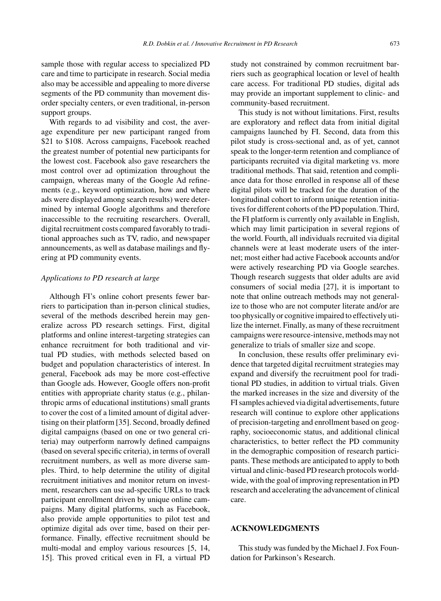sample those with regular access to specialized PD care and time to participate in research. Social media also may be accessible and appealing to more diverse segments of the PD community than movement disorder specialty centers, or even traditional, in-person support groups.

With regards to ad visibility and cost, the average expenditure per new participant ranged from \$21 to \$108. Across campaigns, Facebook reached the greatest number of potential new participants for the lowest cost. Facebook also gave researchers the most control over ad optimization throughout the campaign, whereas many of the Google Ad refinements (e.g., keyword optimization, how and where ads were displayed among search results) were determined by internal Google algorithms and therefore inaccessible to the recruiting researchers. Overall, digital recruitment costs compared favorably to traditional approaches such as TV, radio, and newspaper announcements, as well as database mailings and flyering at PD community events.

### *Applications to PD research at large*

Although FI's online cohort presents fewer barriers to participation than in-person clinical studies, several of the methods described herein may generalize across PD research settings. First, digital platforms and online interest-targeting strategies can enhance recruitment for both traditional and virtual PD studies, with methods selected based on budget and population characteristics of interest. In general, Facebook ads may be more cost-effective than Google ads. However, Google offers non-profit entities with appropriate charity status (e.g., philanthropic arms of educational institutions) small grants to cover the cost of a limited amount of digital advertising on their platform [35]. Second, broadly defined digital campaigns (based on one or two general criteria) may outperform narrowly defined campaigns (based on several specific criteria), in terms of overall recruitment numbers, as well as more diverse samples. Third, to help determine the utility of digital recruitment initiatives and monitor return on investment, researchers can use ad-specific URLs to track participant enrollment driven by unique online campaigns. Many digital platforms, such as Facebook, also provide ample opportunities to pilot test and optimize digital ads over time, based on their performance. Finally, effective recruitment should be multi-modal and employ various resources [5, 14, 15]. This proved critical even in FI, a virtual PD

study not constrained by common recruitment barriers such as geographical location or level of health care access. For traditional PD studies, digital ads may provide an important supplement to clinic- and community-based recruitment.

This study is not without limitations. First, results are exploratory and reflect data from initial digital campaigns launched by FI. Second, data from this pilot study is cross-sectional and, as of yet, cannot speak to the longer-term retention and compliance of participants recruited via digital marketing vs. more traditional methods. That said, retention and compliance data for those enrolled in response all of these digital pilots will be tracked for the duration of the longitudinal cohort to inform unique retention initiatives for different cohorts of the PD population. Third, the FI platform is currently only available in English, which may limit participation in several regions of the world. Fourth, all individuals recruited via digital channels were at least moderate users of the internet; most either had active Facebook accounts and/or were actively researching PD via Google searches. Though research suggests that older adults are avid consumers of social media [27], it is important to note that online outreach methods may not generalize to those who are not computer literate and/or are too physically or cognitive impaired to effectively utilize the internet. Finally, as many of these recruitment campaigns were resource-intensive, methods may not generalize to trials of smaller size and scope.

In conclusion, these results offer preliminary evidence that targeted digital recruitment strategies may expand and diversify the recruitment pool for traditional PD studies, in addition to virtual trials. Given the marked increases in the size and diversity of the FI samples achieved via digital advertisements, future research will continue to explore other applications of precision-targeting and enrollment based on geography, socioeconomic status, and additional clinical characteristics, to better reflect the PD community in the demographic composition of research participants. These methods are anticipated to apply to both virtual and clinic-based PD research protocols worldwide, with the goal of improving representation in PD research and accelerating the advancement of clinical care.

#### **ACKNOWLEDGMENTS**

This study was funded by the Michael J. Fox Foundation for Parkinson's Research.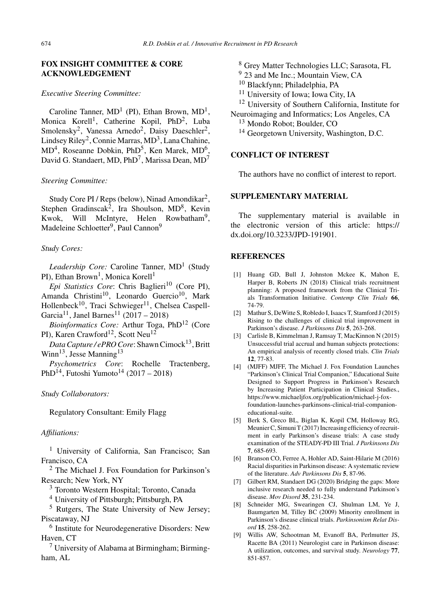# **FOX INSIGHT COMMITTEE & CORE ACKNOWLEDGEMENT**

# *Executive Steering Committee:*

Caroline Tanner,  $MD<sup>1</sup>$  (PI), Ethan Brown,  $MD<sup>1</sup>$ , Monica Korell<sup>1</sup>, Catherine Kopil, PhD<sup>2</sup>, Luba Smolensky<sup>2</sup>, Vanessa Arnedo<sup>2</sup>, Daisy Daeschler<sup>2</sup>, Lindsey Riley<sup>2</sup>, Connie Marras, MD<sup>3</sup>, Lana Chahine,  $MD<sup>4</sup>$ , Roseanne Dobkin, PhD<sup>5</sup>, Ken Marek, MD<sup>6</sup>, David G. Standaert, MD,  $PhD<sup>7</sup>$ , Marissa Dean, MD<sup>7</sup>

# *Steering Committee:*

Study Core PI / Reps (below), Ninad Amondikar<sup>2</sup>, Stephen Gradinscak<sup>2</sup>, Ira Shoulson,  $MD^8$ , Kevin Kwok, Will McIntyre, Helen Rowbatham<sup>9</sup>, Madeleine Schloetter<sup>9</sup>, Paul Cannon<sup>9</sup>

# *Study Cores:*

Leadership Core: Caroline Tanner, MD<sup>1</sup> (Study PI), Ethan Brown<sup>1</sup>, Monica Korell<sup>1</sup>

*Epi Statistics Core:* Chris Baglieri<sup>10</sup> (Core PI), Amanda Christini<sup>10</sup>, Leonardo Guercio<sup>10</sup>, Mark Hollenbeck<sup>10</sup>, Traci Schwieger<sup>11</sup>, Chelsea Caspell-Garcia<sup>11</sup>, Janel Barnes<sup>11</sup> (2017 – 2018)

*Bioinformatics Core:* Arthur Toga, PhD12 (Core PI), Karen Crawford<sup>12</sup>, Scott Neu<sup>12</sup>

*Data Capture / ePRO Core: Shawn Cimock*<sup>13</sup>, Britt Winn<sup>13</sup>, Jesse Manning<sup>13</sup>

*Psychometrics Core*: Rochelle Tractenberg, PhD<sup>14</sup>, Futoshi Yumoto<sup>14</sup> (2017 – 2018)

# *Study Collaborators:*

Regulatory Consultant: Emily Flagg

# *Affiliations:*

<sup>1</sup> University of California, San Francisco; San Francisco, CA

<sup>2</sup> The Michael J. Fox Foundation for Parkinson's Research; New York, NY

<sup>3</sup> Toronto Western Hospital; Toronto, Canada

<sup>4</sup> University of Pittsburgh; Pittsburgh, PA

<sup>5</sup> Rutgers, The State University of New Jersey; Piscataway, NJ

<sup>6</sup> Institute for Neurodegenerative Disorders: New Haven, CT

 $<sup>7</sup>$  University of Alabama at Birmingham; Birming-</sup> ham, AL

<sup>8</sup> Grey Matter Technologies LLC; Sarasota, FL

<sup>9</sup> 23 and Me Inc.; Mountain View, CA

- <sup>10</sup> Blackfynn; Philadelphia, PA
- <sup>11</sup> University of Iowa; Iowa City, IA

<sup>12</sup> University of Southern California, Institute for

Neuroimaging and Informatics; Los Angeles, CA

<sup>13</sup> Mondo Robot; Boulder, CO

<sup>14</sup> Georgetown University, Washington, D.C.

# **CONFLICT OF INTEREST**

The authors have no conflict of interest to report.

# **SUPPLEMENTARY MATERIAL**

The supplementary material is available in the electronic version of this article: [https://](https://dx.doi.org/10.3233/JPD-191901) [dx.doi.org/10.3233/JPD-191901](https://dx.doi.org/10.3233/JPD-191901).

# **REFERENCES**

- [1] Huang GD, Bull J, Johnston Mckee K, Mahon E, Harper B, Roberts JN (2018) Clinical trials recruitment planning: A proposed framework from the Clinical Trials Transformation Initiative. *Contemp Clin Trials* **66**, 74-79.
- [2] Mathur S, DeWitte S, Robledo I, Isaacs T, Stamford J (2015) Rising to the challenges of clinical trial improvement in Parkinson's disease. *J Parkinsons Dis* **5**, 263-268.
- [3] Carlisle B, Kimmelman J, Ramsay T, MacKinnon N (2015) Unsuccessful trial accrual and human subjects protections: An empirical analysis of recently closed trials. *Clin Trials* **12**, 77-83.
- [4] (MJFF) MJFF, The Michael J. Fox Foundation Launches "Parkinson's Clinical Trial Companion," Educational Suite Designed to Support Progress in Parkinson's Research by Increasing Patient Participation in Clinical Studies., [https://www.michaeljfox.org/publication/michael-j-fox](https://www.michaeljfox.org/publication/michael-j-fox-foundation-launches-parkinsons-clinical-trial-companion-educational-suite)foundation-launches-parkinsons-clinical-trial-companioneducational-suite.
- [5] Berk S, Greco BL, Biglan K, Kopil CM, Holloway RG, Meunier C, Simuni T (2017) Increasing efficiency of recruitment in early Parkinson's disease trials: A case study examination of the STEADY-PD III Trial. *J Parkinsons Dis* **7**, 685-693.
- [6] Branson CO, Ferree A, Hohler AD, Saint-Hilarie M (2016) Racial disparities in Parkinson disease: A systematic review of the literature. *Adv Parkinsons Dis* **5**, 87-96.
- [7] Gilbert RM, Standaert DG (2020) Bridging the gaps: More inclusive research needed to fully understand Parkinson's disease. *Mov Disord* **35**, 231-234.
- [8] Schneider MG, Swearingen CJ, Shulman LM, Ye J, Baumgarten M, Tilley BC (2009) Minority enrollment in Parkinson's disease clinical trials. *Parkinsonism Relat Disord* **15**, 258-262.
- [9] Willis AW, Schootman M, Evanoff BA, Perlmutter JS, Racette BA (2011) Neurologist care in Parkinson disease: A utilization, outcomes, and survival study. *Neurology* **77**, 851-857.